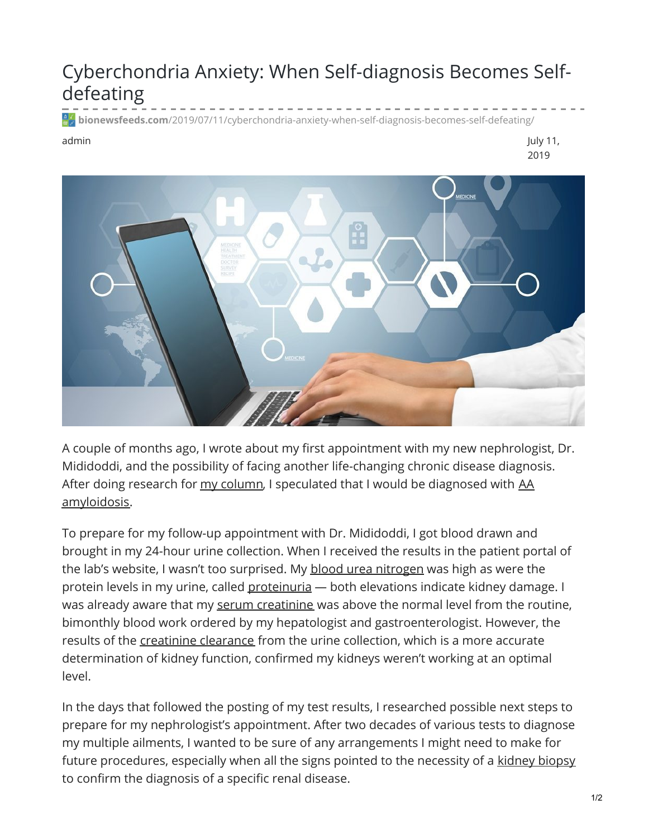## Cyberchondria Anxiety: When Self-diagnosis Becomes Selfdefeating

**bionewsfeeds.com**[/2019/07/11/cyberchondria-anxiety-when-self-diagnosis-becomes-self-defeating/](https://bionewsfeeds.com/2019/07/11/cyberchondria-anxiety-when-self-diagnosis-becomes-self-defeating/)

admin July 11, 2019



A couple of months ago, I wrote about my first appointment with my new nephrologist, Dr. Mididoddi, and the possibility of facing another life-changing chronic disease diagnosis. After doing research for my [column](https://ibdnewstoday.com/2019/05/02/ibd-related-diagnosis-youve-gotta-be-kidney-me-renal-effects/), I speculated that I would be diagnosed with AA [amyloidosis.](http://amyloidosis.org/facts/aa/#faqs)

To prepare for my follow-up appointment with Dr. Mididoddi, I got blood drawn and brought in my 24-hour urine collection. When I received the results in the patient portal of the lab's website, I wasn't too surprised. My blood urea [nitrogen](https://www.mayoclinic.org/tests-procedures/blood-urea-nitrogen/about/pac-20384821) was high as were the protein levels in my urine, called [proteinuria](https://www.mayoclinic.org/symptoms/protein-in-urine/basics/definition/sym-20050656) - both elevations indicate kidney damage. I was already aware that my serum [creatinine](https://www.mayoclinic.org/tests-procedures/creatinine-test/about/pac-20384646) was above the normal level from the routine, bimonthly blood work ordered by my hepatologist and gastroenterologist. However, the results of the [creatinine](https://my.clevelandclinic.org/health/diagnostics/16380-creatinine-clearance-test) clearance from the urine collection, which is a more accurate determination of kidney function, confirmed my kidneys weren't working at an optimal level.

In the days that followed the posting of my test results, I researched possible next steps to prepare for my nephrologist's appointment. After two decades of various tests to diagnose my multiple ailments, I wanted to be sure of any arrangements I might need to make for future procedures, especially when all the signs pointed to the necessity of a [kidney](https://www.niddk.nih.gov/health-information/diagnostic-tests/kidney-biopsy) biopsy to confirm the diagnosis of a specific renal disease.